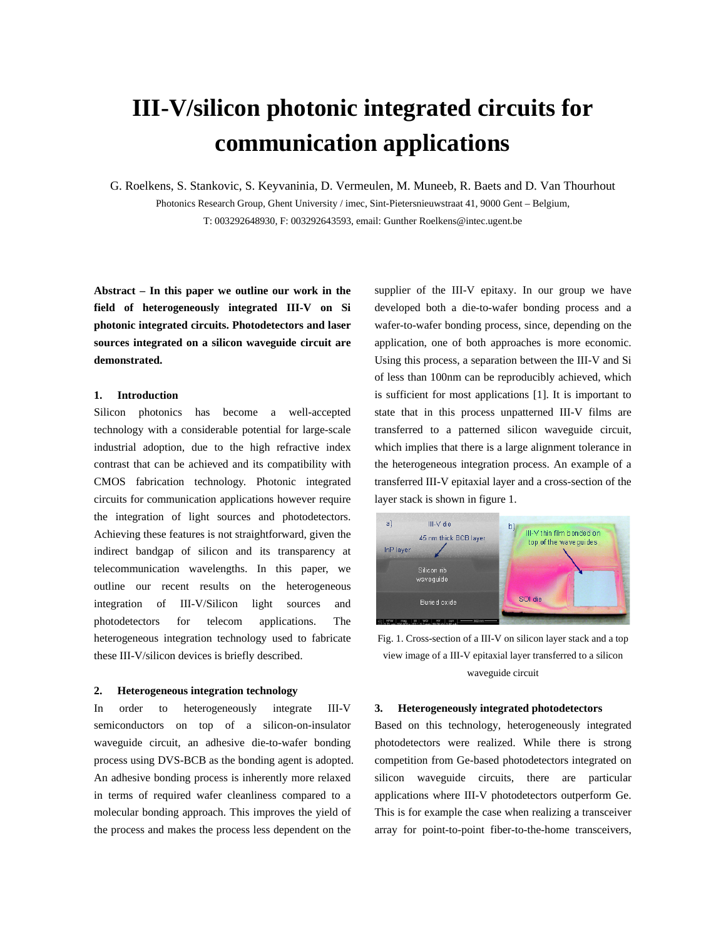# **III-V/silicon photonic integrated circuits for communication applications**

G. Roelkens, S. Stankovic, S. Keyvaninia, D. Vermeulen, M. Muneeb, R. Baets and D. Van Thourhout Photonics Research Group, Ghent University / imec, Sint-Pietersnieuwstraat 41, 9000 Gent – Belgium, T: 003292648930, F: 003292643593, email: Gunther Roelkens@intec.ugent.be

**Abstract – In this paper we outline our work in the field of heterogeneously integrated III-V on Si photonic integrated circuits. Photodetectors and laser sources integrated on a silicon waveguide circuit are demonstrated.**

# **1. Introduction**

Silicon photonics has become a well-accepted technology with a considerable potential for large-scale industrial adoption, due to the high refractive index contrast that can be achieved and its compatibility with CMOS fabrication technology. Photonic integrated circuits for communication applications however require the integration of light sources and photodetectors. Achieving these features is not straightforward, given the indirect bandgap of silicon and its transparency at telecommunication wavelengths. In this paper, we outline our recent results on the heterogeneous integration of III-V/Silicon light sources and photodetectors for telecom applications. The heterogeneous integration technology used to fabricate these III-V/silicon devices is briefly described.

## **2. Heterogeneous integration technology**

In order to heterogeneously integrate III-V semiconductors on top of a silicon-on-insulator waveguide circuit, an adhesive die-to-wafer bonding process using DVS-BCB as the bonding agent is adopted. An adhesive bonding process is inherently more relaxed in terms of required wafer cleanliness compared to a molecular bonding approach. This improves the yield of the process and makes the process less dependent on the

supplier of the III-V epitaxy. In our group we have developed both a die-to-wafer bonding process and a wafer-to-wafer bonding process, since, depending on the application, one of both approaches is more economic. Using this process, a separation between the III-V and Si of less than 100nm can be reproducibly achieved, which is sufficient for most applications [1]. It is important to state that in this process unpatterned III-V films are transferred to a patterned silicon waveguide circuit, which implies that there is a large alignment tolerance in the heterogeneous integration process. An example of a transferred III-V epitaxial layer and a cross-section of the layer stack is shown in figure 1.



Fig. 1. Cross-section of a III-V on silicon layer stack and a top view image of a III-V epitaxial layer transferred to a silicon waveguide circuit

# **3. Heterogeneously integrated photodetectors**

Based on this technology, heterogeneously integrated photodetectors were realized. While there is strong competition from Ge-based photodetectors integrated on silicon waveguide circuits, there are particular applications where III-V photodetectors outperform Ge. This is for example the case when realizing a transceiver array for point-to-point fiber-to-the-home transceivers,